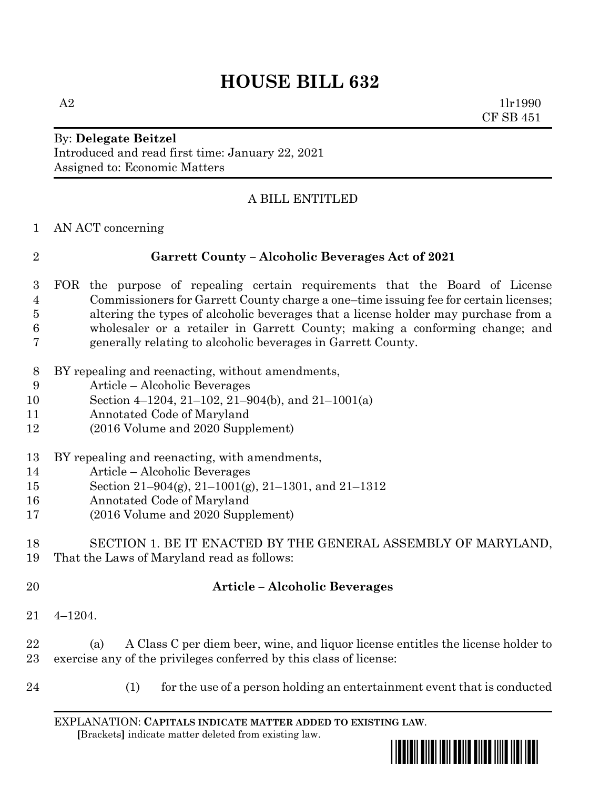# **HOUSE BILL 632**

 $A2$  1lr1990 CF SB 451

## By: **Delegate Beitzel** Introduced and read first time: January 22, 2021 Assigned to: Economic Matters

# A BILL ENTITLED

AN ACT concerning

## **Garrett County – Alcoholic Beverages Act of 2021**

- FOR the purpose of repealing certain requirements that the Board of License Commissioners for Garrett County charge a one–time issuing fee for certain licenses; altering the types of alcoholic beverages that a license holder may purchase from a wholesaler or a retailer in Garrett County; making a conforming change; and generally relating to alcoholic beverages in Garrett County.
- BY repealing and reenacting, without amendments,
- Article Alcoholic Beverages
- Section 4–1204, 21–102, 21–904(b), and 21–1001(a)
- Annotated Code of Maryland
- (2016 Volume and 2020 Supplement)
- BY repealing and reenacting, with amendments,
- Article Alcoholic Beverages
- Section 21–904(g), 21–1001(g), 21–1301, and 21–1312
- Annotated Code of Maryland
- (2016 Volume and 2020 Supplement)

#### SECTION 1. BE IT ENACTED BY THE GENERAL ASSEMBLY OF MARYLAND, That the Laws of Maryland read as follows:

#### **Article – Alcoholic Beverages**

4–1204.

 (a) A Class C per diem beer, wine, and liquor license entitles the license holder to exercise any of the privileges conferred by this class of license:

- 
- (1) for the use of a person holding an entertainment event that is conducted

EXPLANATION: **CAPITALS INDICATE MATTER ADDED TO EXISTING LAW**.  **[**Brackets**]** indicate matter deleted from existing law.

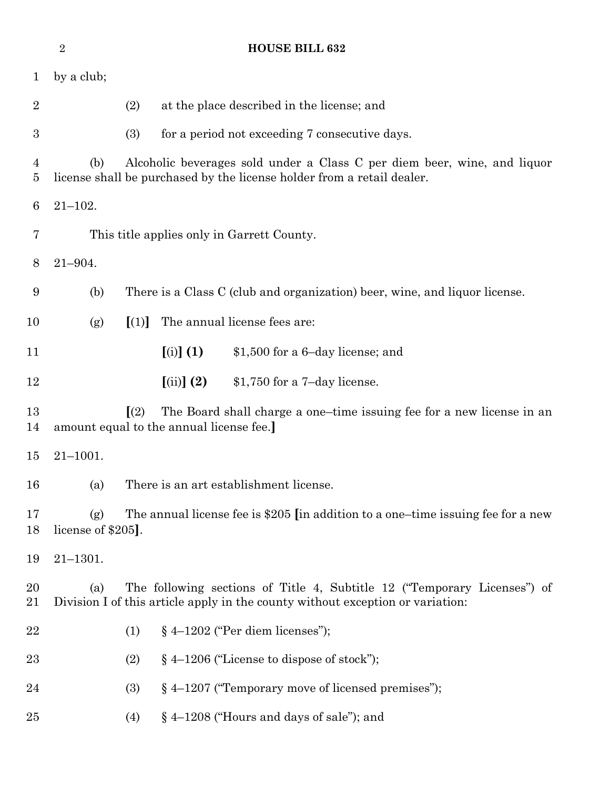|                | $\overline{2}$                                                                                                                                                    | <b>HOUSE BILL 632</b>                                                                                                                              |  |  |  |
|----------------|-------------------------------------------------------------------------------------------------------------------------------------------------------------------|----------------------------------------------------------------------------------------------------------------------------------------------------|--|--|--|
| $\mathbf{1}$   | by a club;                                                                                                                                                        |                                                                                                                                                    |  |  |  |
| $\overline{2}$ |                                                                                                                                                                   | (2)<br>at the place described in the license; and                                                                                                  |  |  |  |
| 3              |                                                                                                                                                                   | (3)<br>for a period not exceeding 7 consecutive days.                                                                                              |  |  |  |
| 4<br>5         | (b)                                                                                                                                                               | Alcoholic beverages sold under a Class C per diem beer, wine, and liquor<br>license shall be purchased by the license holder from a retail dealer. |  |  |  |
| 6              | $21 - 102.$                                                                                                                                                       |                                                                                                                                                    |  |  |  |
| 7              |                                                                                                                                                                   | This title applies only in Garrett County.                                                                                                         |  |  |  |
| 8              | $21 - 904.$                                                                                                                                                       |                                                                                                                                                    |  |  |  |
| 9              | (b)                                                                                                                                                               | There is a Class C (club and organization) beer, wine, and liquor license.                                                                         |  |  |  |
| 10             | (g)                                                                                                                                                               | The annual license fees are:<br>[(1)]                                                                                                              |  |  |  |
| 11             |                                                                                                                                                                   | $[(i)]$ $(1)$<br>\$1,500 for a 6-day license; and                                                                                                  |  |  |  |
| 12             |                                                                                                                                                                   | $(iii)$ $(2)$<br>$$1,750$ for a 7-day license.                                                                                                     |  |  |  |
| 13<br>14       |                                                                                                                                                                   | $\left[\frac{2}{2}\right]$<br>The Board shall charge a one-time issuing fee for a new license in an<br>amount equal to the annual license fee.]    |  |  |  |
| 15             | $21 - 1001.$                                                                                                                                                      |                                                                                                                                                    |  |  |  |
| 16             | (a)                                                                                                                                                               | There is an art establishment license                                                                                                              |  |  |  |
| 17<br>18       | The annual license fee is \$205 [in addition to a one-time issuing fee for a new<br>(g)<br>license of \$205.                                                      |                                                                                                                                                    |  |  |  |
| 19             | $21 - 1301.$                                                                                                                                                      |                                                                                                                                                    |  |  |  |
| 20<br>21       | The following sections of Title 4, Subtitle 12 ("Temporary Licenses") of<br>(a)<br>Division I of this article apply in the county without exception or variation: |                                                                                                                                                    |  |  |  |
| 22             |                                                                                                                                                                   | $§$ 4-1202 ("Per diem licenses");<br>(1)                                                                                                           |  |  |  |
| 23             |                                                                                                                                                                   | $§$ 4-1206 ("License to dispose of stock");<br>(2)                                                                                                 |  |  |  |
| 24             |                                                                                                                                                                   | $§$ 4–1207 ("Temporary move of licensed premises");<br>(3)                                                                                         |  |  |  |
| $25\,$         |                                                                                                                                                                   | $§$ 4-1208 ("Hours and days of sale"); and<br>(4)                                                                                                  |  |  |  |